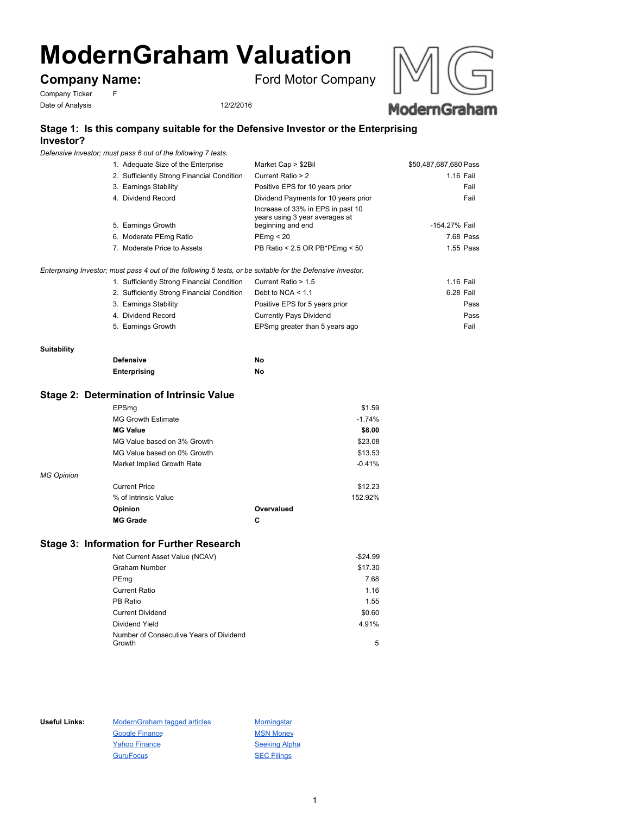# **ModernGraham Valuation**

# **Company Name:** Ford Motor Company

Company Ticker F Date of Analysis 12/2/2016

 $Enterprising$ 

**Suitability**



#### **Stage 1: Is this company suitable for the Defensive Investor or the Enterprising Investor?**

*Defensive Investor; must pass 6 out of the following 7 tests.*

| 1. Adequate Size of the Enterprise                                                             | Market Cap > \$2Bil                                                                      | \$50,487,687,680 Pass |
|------------------------------------------------------------------------------------------------|------------------------------------------------------------------------------------------|-----------------------|
| 2. Sufficiently Strong Financial Condition                                                     | Current Ratio > 2                                                                        | 1.16 Fail             |
| 3. Earnings Stability                                                                          | Positive EPS for 10 years prior                                                          | Fail                  |
| 4. Dividend Record                                                                             | Dividend Payments for 10 years prior                                                     | Fail                  |
| 5. Earnings Growth                                                                             | Increase of 33% in EPS in past 10<br>years using 3 year averages at<br>beginning and end | -154.27% Fail         |
| 6. Moderate PEmg Ratio                                                                         | PEmq < 20                                                                                | 7.68 Pass             |
| 7. Moderate Price to Assets                                                                    | PB Ratio < 2.5 OR PB*PEmg < 50                                                           | 1.55 Pass             |
| Investor; must pass 4 out of the following 5 tests, or be suitable for the Defensive Investor. |                                                                                          |                       |
| 1. Sufficiently Strong Financial Condition                                                     | Current Ratio > 1.5                                                                      | 1.16 Fail             |
| 2. Sufficiently Strong Financial Condition                                                     | Debt to $NCA < 1.1$                                                                      | 6.28 Fail             |
| 3. Earnings Stability                                                                          | Positive EPS for 5 years prior                                                           | Pass                  |
| 4. Dividend Record                                                                             | <b>Currently Pays Dividend</b>                                                           | Pass                  |
| 5. Earnings Growth                                                                             | EPSmg greater than 5 years ago                                                           | Fail                  |
|                                                                                                |                                                                                          |                       |
| <b>Defensive</b>                                                                               | No                                                                                       |                       |

# **Stage 2: Determination of Intrinsic Value**

|                   | EPSmg                       |            | \$1.59   |
|-------------------|-----------------------------|------------|----------|
|                   | <b>MG Growth Estimate</b>   |            | $-1.74%$ |
|                   | <b>MG Value</b>             |            | \$8.00   |
|                   | MG Value based on 3% Growth |            | \$23.08  |
|                   | MG Value based on 0% Growth |            | \$13.53  |
|                   | Market Implied Growth Rate  |            | $-0.41%$ |
| <b>MG Opinion</b> |                             |            |          |
|                   | <b>Current Price</b>        |            | \$12.23  |
|                   | % of Intrinsic Value        |            | 152.92%  |
|                   | Opinion                     | Overvalued |          |
|                   | <b>MG Grade</b>             | C          |          |

**Enterprising No**

### **Stage 3: Information for Further Research**

| Net Current Asset Value (NCAV)          | $-$24.99$ |
|-----------------------------------------|-----------|
| Graham Number                           | \$17.30   |
| PEmg                                    | 7.68      |
| <b>Current Ratio</b>                    | 1.16      |
| PB Ratio                                | 1.55      |
| <b>Current Dividend</b>                 | \$0.60    |
| Dividend Yield                          | 4.91%     |
| Number of Consecutive Years of Dividend |           |
| Growth                                  | 5         |

Useful Links: ModernGraham tagged articles Morningstar Google Finance MSN Money Yahoo Finance Seeking Alpha GuruFocus SEC Filings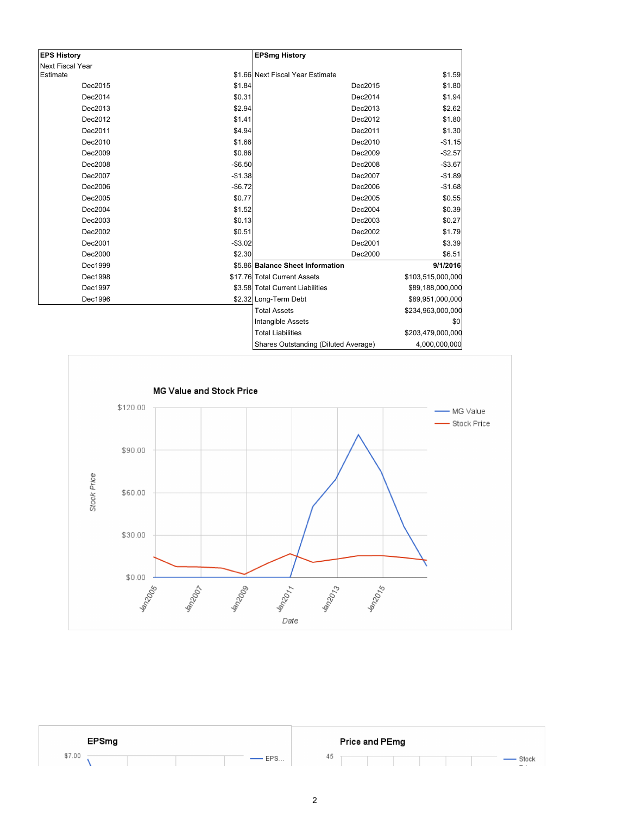| <b>EPS History</b>      |            | <b>EPSmg History</b>                 |                   |
|-------------------------|------------|--------------------------------------|-------------------|
| <b>Next Fiscal Year</b> |            |                                      |                   |
| Estimate                |            | \$1.66 Next Fiscal Year Estimate     | \$1.59            |
| Dec2015                 | \$1.84     | Dec2015                              | \$1.80            |
| Dec2014                 | \$0.31     | Dec2014                              | \$1.94            |
| Dec2013                 | \$2.94     | Dec2013                              | \$2.62            |
| Dec2012                 | \$1.41     | Dec2012                              | \$1.80            |
| Dec2011                 | \$4.94     | Dec2011                              | \$1.30            |
| Dec2010                 | \$1.66     | Dec2010                              | $-$1.15$          |
| Dec2009                 | \$0.86     | Dec2009                              | $-$2.57$          |
| Dec2008                 | $-$ \$6.50 | Dec2008                              | $-$3.67$          |
| Dec2007                 | $-$1.38$   | Dec2007                              | $-$1.89$          |
| Dec2006                 | $-$6.72$   | Dec2006                              | $-$1.68$          |
| Dec2005                 | \$0.77     | Dec2005                              | \$0.55            |
| Dec2004                 | \$1.52     | Dec2004                              | \$0.39            |
| Dec2003                 | \$0.13     | Dec2003                              | \$0.27            |
| Dec2002                 | \$0.51     | Dec2002                              | \$1.79            |
| Dec2001                 | $-$3.02$   | Dec2001                              | \$3.39            |
| Dec2000                 | \$2.30     | Dec2000                              | \$6.51            |
| Dec1999                 |            | \$5.86 Balance Sheet Information     | 9/1/2016          |
| Dec1998                 |            | \$17.76 Total Current Assets         | \$103,515,000,000 |
| Dec1997                 |            | \$3.58 Total Current Liabilities     | \$89,188,000,000  |
| Dec1996                 |            | \$2.32 Long-Term Debt                | \$89,951,000,000  |
|                         |            | <b>Total Assets</b>                  | \$234,963,000,000 |
|                         |            | Intangible Assets                    | \$0               |
|                         |            | <b>Total Liabilities</b>             | \$203,479,000,000 |
|                         |            | Shares Outstanding (Diluted Average) | 4,000,000,000     |